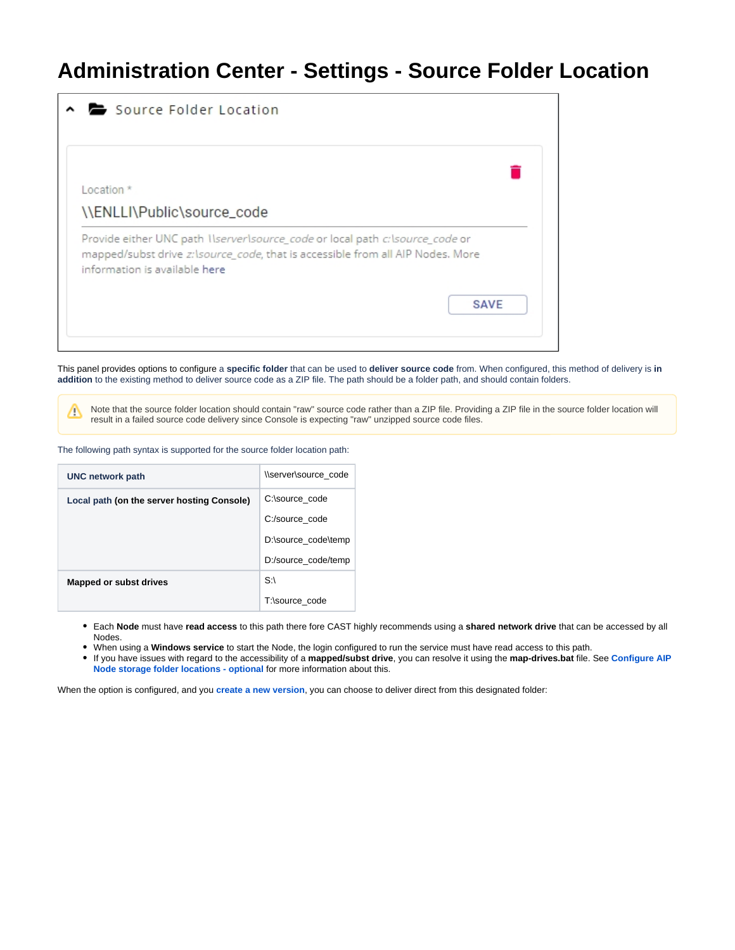## **Administration Center - Settings - Source Folder Location**



This panel provides options to configure a **specific folder** that can be used to **deliver source code** from. When configured, this method of delivery is **in addition** to the existing method to deliver source code as a ZIP file. The path should be a folder path, and should contain folders.

Note that the source folder location should contain "raw" source code rather than a ZIP file. Providing a ZIP file in the source folder location will result in a failed source code delivery since Console is expecting "raw" unzipped source code files.

The following path syntax is supported for the source folder location path:

Δ

| <b>UNC network path</b>                    | \\server\source_code |  |  |
|--------------------------------------------|----------------------|--|--|
| Local path (on the server hosting Console) | C:\source_code       |  |  |
|                                            | C:/source code       |  |  |
|                                            | D:\source_code\temp  |  |  |
|                                            | D:/source code/temp  |  |  |
| Mapped or subst drives                     | S:                   |  |  |
|                                            | T:\source_code       |  |  |

Each **Node** must have **read access** to this path there fore CAST highly recommends using a **shared network drive** that can be accessed by all Nodes.

When using a **Windows service** to start the Node, the login configured to run the service must have read access to this path.

If you have issues with regard to the accessibility of a **mapped/subst drive**, you can resolve it using the **map-drives.bat** file. See **[Configure AIP](https://doc.castsoftware.com/display/DASHBOARDS/Configure+AIP+Node+storage+folder+locations+-+optional+-+v.+1.x#ConfigureAIPNodestoragefolderlocationsoptionalv.1.x-note)  [Node storage folder locations - optional](https://doc.castsoftware.com/display/DASHBOARDS/Configure+AIP+Node+storage+folder+locations+-+optional+-+v.+1.x#ConfigureAIPNodestoragefolderlocationsoptionalv.1.x-note)** for more information about this.

When the option is configured, and you **[create a new version](https://doc.castsoftware.com/display/DASHBOARDS/Standard+onboarding+-+add+a+new+Version+-+deliver+code+-+generate+snapshot)**, you can choose to deliver direct from this designated folder: